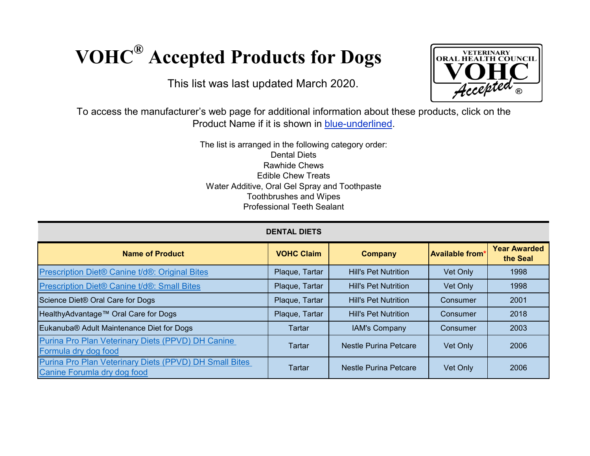## **VOHC® Accepted Products for Dogs**

This list was last updated March 2020.



To access the manufacturer's web page for additional information about these products, click on the Product Name if it is shown in **blue-underlined**.

> The list is arranged in the following category order: Dental Diets Rawhide Chews Edible Chew Treats Water Additive, Oral Gel Spray and Toothpaste Toothbrushes and Wipes Professional Teeth Sealant

| <b>DENTAL DIETS</b>                                                                   |                   |                              |                        |                                 |  |
|---------------------------------------------------------------------------------------|-------------------|------------------------------|------------------------|---------------------------------|--|
| <b>Name of Product</b>                                                                | <b>VOHC Claim</b> | <b>Company</b>               | <b>Available from*</b> | <b>Year Awarded</b><br>the Seal |  |
| Prescription Diet® Canine t/d®: Original Bites                                        | Plaque, Tartar    | <b>Hill's Pet Nutrition</b>  | Vet Only               | 1998                            |  |
| Prescription Diet® Canine t/d®: Small Bites                                           | Plaque, Tartar    | <b>Hill's Pet Nutrition</b>  | Vet Only               | 1998                            |  |
| Science Diet® Oral Care for Dogs                                                      | Plaque, Tartar    | <b>Hill's Pet Nutrition</b>  | Consumer               | 2001                            |  |
| HealthyAdvantage™ Oral Care for Dogs                                                  | Plaque, Tartar    | <b>Hill's Pet Nutrition</b>  | Consumer               | 2018                            |  |
| Eukanuba® Adult Maintenance Diet for Dogs                                             | Tartar            | <b>IAM's Company</b>         | Consumer               | 2003                            |  |
| Purina Pro Plan Veterinary Diets (PPVD) DH Canine<br>Formula dry dog food             | Tartar            | Nestle Purina Petcare        | Vet Only               | 2006                            |  |
| Purina Pro Plan Veterinary Diets (PPVD) DH Small Bites<br>Canine Forumla dry dog food | Tartar            | <b>Nestle Purina Petcare</b> | Vet Only               | 2006                            |  |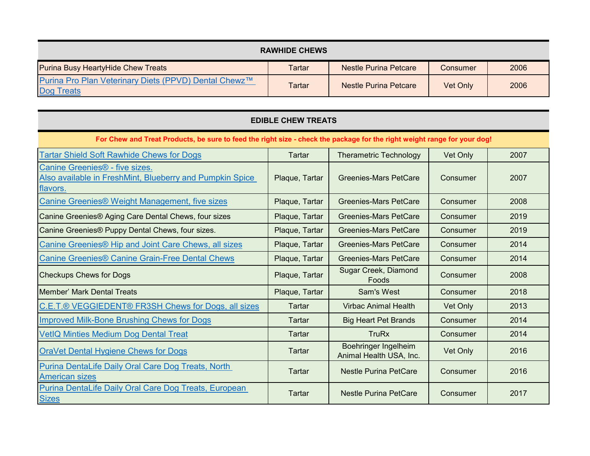| <b>RAWHIDE CHEWS</b>                                                       |        |                       |          |      |  |
|----------------------------------------------------------------------------|--------|-----------------------|----------|------|--|
| <b>Purina Busy HeartyHide Chew Treats</b>                                  | Tartar | Nestle Purina Petcare | Consumer | 2006 |  |
| Purina Pro Plan Veterinary Diets (PPVD) Dental Chewz™<br><b>Dog Treats</b> | Tartar | Nestle Purina Petcare | Vet Only | 2006 |  |

| <b>EDIBLE CHEW TREATS</b>                                                                                                |                |                                                        |          |      |  |  |
|--------------------------------------------------------------------------------------------------------------------------|----------------|--------------------------------------------------------|----------|------|--|--|
| For Chew and Treat Products, be sure to feed the right size - check the package for the right weight range for your dog! |                |                                                        |          |      |  |  |
| <b>Tartar Shield Soft Rawhide Chews for Dogs</b>                                                                         | Tartar         | <b>Therametric Technology</b>                          | Vet Only | 2007 |  |  |
| Canine Greenies <sup>®</sup> - five sizes.<br>Also available in FreshMint, Blueberry and Pumpkin Spice<br>flavors.       | Plaque, Tartar | Greenies-Mars PetCare                                  | Consumer | 2007 |  |  |
| Canine Greenies® Weight Management, five sizes                                                                           | Plaque, Tartar | <b>Greenies-Mars PetCare</b>                           | Consumer | 2008 |  |  |
| Canine Greenies® Aging Care Dental Chews, four sizes                                                                     | Plaque, Tartar | Greenies-Mars PetCare                                  | Consumer | 2019 |  |  |
| Canine Greenies® Puppy Dental Chews, four sizes.                                                                         | Plaque, Tartar | <b>Greenies-Mars PetCare</b>                           | Consumer | 2019 |  |  |
| Canine Greenies <sup>®</sup> Hip and Joint Care Chews, all sizes                                                         | Plaque, Tartar | <b>Greenies-Mars PetCare</b>                           | Consumer | 2014 |  |  |
| <b>Canine Greenies® Canine Grain-Free Dental Chews</b>                                                                   | Plaque, Tartar | <b>Greenies-Mars PetCare</b>                           | Consumer | 2014 |  |  |
| <b>Checkups Chews for Dogs</b>                                                                                           | Plaque, Tartar | Sugar Creek, Diamond<br>Foods                          | Consumer | 2008 |  |  |
| IMember' Mark Dental Treats                                                                                              | Plaque, Tartar | <b>Sam's West</b>                                      | Consumer | 2018 |  |  |
| C.E.T.® VEGGIEDENT® FR3SH Chews for Dogs, all sizes                                                                      | Tartar         | <b>Virbac Animal Health</b>                            | Vet Only | 2013 |  |  |
| <b>Improved Milk-Bone Brushing Chews for Dogs</b>                                                                        | <b>Tartar</b>  | <b>Big Heart Pet Brands</b>                            | Consumer | 2014 |  |  |
| <b>VetIQ Minties Medium Dog Dental Treat</b>                                                                             | <b>Tartar</b>  | <b>TruRx</b>                                           | Consumer | 2014 |  |  |
| <b>OraVet Dental Hygiene Chews for Dogs</b>                                                                              | <b>Tartar</b>  | <b>Boehringer Ingelheim</b><br>Animal Health USA, Inc. | Vet Only | 2016 |  |  |
| Purina DentaLife Daily Oral Care Dog Treats, North<br><b>American sizes</b>                                              | Tartar         | <b>Nestle Purina PetCare</b>                           | Consumer | 2016 |  |  |
| Purina DentaLife Daily Oral Care Dog Treats, European<br><b>Sizes</b>                                                    | Tartar         | <b>Nestle Purina PetCare</b>                           | Consumer | 2017 |  |  |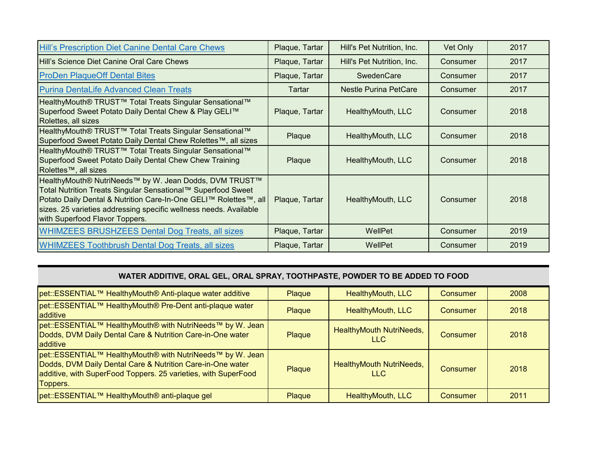| Hill's Prescription Diet Canine Dental Care Chews                                                                                                                                                                                                                                                 | Plaque, Tartar | Hill's Pet Nutrition, Inc. | Vet Only | 2017 |
|---------------------------------------------------------------------------------------------------------------------------------------------------------------------------------------------------------------------------------------------------------------------------------------------------|----------------|----------------------------|----------|------|
| Hill's Science Diet Canine Oral Care Chews                                                                                                                                                                                                                                                        | Plaque, Tartar | Hill's Pet Nutrition, Inc. | Consumer | 2017 |
| <b>ProDen PlaqueOff Dental Bites</b>                                                                                                                                                                                                                                                              | Plaque, Tartar | <b>SwedenCare</b>          | Consumer | 2017 |
| <b>Purina DentaLife Advanced Clean Treats</b>                                                                                                                                                                                                                                                     | Tartar         | Nestle Purina PetCare      | Consumer | 2017 |
| HealthyMouth® TRUST <sup>™</sup> Total Treats Singular Sensational <sup>™</sup><br>Superfood Sweet Potato Daily Dental Chew & Play GELI™<br>Rolettes, all sizes                                                                                                                                   | Plaque, Tartar | HealthyMouth, LLC          | Consumer | 2018 |
| HealthyMouth® TRUST <sup>™</sup> Total Treats Singular Sensational <sup>™</sup><br>Superfood Sweet Potato Daily Dental Chew Rolettes™, all sizes                                                                                                                                                  | Plaque         | HealthyMouth, LLC          | Consumer | 2018 |
| HealthyMouth® TRUST™ Total Treats Singular Sensational™<br>Superfood Sweet Potato Daily Dental Chew Chew Training<br>Rolettes™, all sizes                                                                                                                                                         | Plaque         | HealthyMouth, LLC          | Consumer | 2018 |
| HealthyMouth® NutriNeeds™ by W. Jean Dodds, DVM TRUST™<br>Total Nutrition Treats Singular Sensational™ Superfood Sweet<br>Potato Daily Dental & Nutrition Care-In-One GELI™ Rolettes™, all<br>sizes. 25 varieties addressing specific wellness needs. Available<br>with Superfood Flavor Toppers. | Plaque, Tartar | HealthyMouth, LLC          | Consumer | 2018 |
| <b>WHIMZEES BRUSHZEES Dental Dog Treats, all sizes</b>                                                                                                                                                                                                                                            | Plaque, Tartar | WellPet                    | Consumer | 2019 |
| <b>WHIMZEES Toothbrush Dental Dog Treats, all sizes</b>                                                                                                                                                                                                                                           | Plaque, Tartar | WellPet                    | Consumer | 2019 |

## **WATER ADDITIVE, ORAL GEL, ORAL SPRAY, TOOTHPASTE, POWDER TO BE ADDED TO FOOD**

| pet::ESSENTIAL™ HealthyMouth® Anti-plaque water additive                                                                                                                                              | Plaque        | HealthyMouth, LLC                | <b>Consumer</b> | 2008 |
|-------------------------------------------------------------------------------------------------------------------------------------------------------------------------------------------------------|---------------|----------------------------------|-----------------|------|
| pet::ESSENTIAL™ HealthyMouth® Pre-Dent anti-plaque water<br>additive                                                                                                                                  | <b>Plaque</b> | HealthyMouth, LLC                | Consumer        | 2018 |
| pet::ESSENTIAL™ HealthyMouth® with NutriNeeds™ by W. Jean<br>Dodds, DVM Daily Dental Care & Nutrition Care-in-One water<br>additive                                                                   | Plaque        | HealthyMouth NutriNeeds,<br>LLC. | Consumer        | 2018 |
| pet::ESSENTIAL™ HealthyMouth® with NutriNeeds™ by W. Jean<br>Dodds, DVM Daily Dental Care & Nutrition Care-in-One water<br>additive, with SuperFood Toppers. 25 varieties, with SuperFood<br>Toppers. | Plaque        | HealthyMouth NutriNeeds,<br>LLC. | Consumer        | 2018 |
| pet::ESSENTIAL™ HealthyMouth® anti-plaque gel                                                                                                                                                         | <b>Plaque</b> | HealthyMouth, LLC                | Consumer        | 2011 |